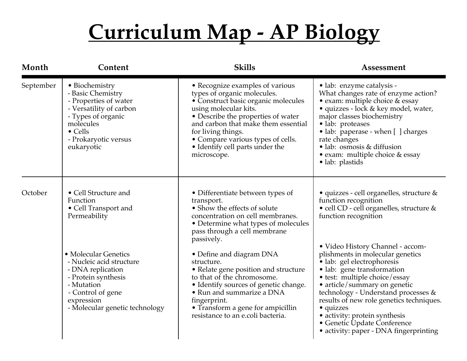| Month     | Content                                                                                                                                                                             | <b>Skills</b>                                                                                                                                                                                                                                                                                                            | Assessment                                                                                                                                                                                                                                                                                                                                                                                                  |
|-----------|-------------------------------------------------------------------------------------------------------------------------------------------------------------------------------------|--------------------------------------------------------------------------------------------------------------------------------------------------------------------------------------------------------------------------------------------------------------------------------------------------------------------------|-------------------------------------------------------------------------------------------------------------------------------------------------------------------------------------------------------------------------------------------------------------------------------------------------------------------------------------------------------------------------------------------------------------|
| September | • Biochemistry<br>- Basic Chemistry<br>- Properties of water<br>- Versatility of carbon<br>- Types of organic<br>molecules<br>$\bullet$ Cells<br>- Prokaryotic versus<br>eukaryotic | • Recognize examples of various<br>types of organic molecules.<br>• Construct basic organic molecules<br>using molecular kits.<br>• Describe the properties of water<br>and carbon that make them essential<br>for living things.<br>• Compare various types of cells.<br>• Identify cell parts under the<br>microscope. | • lab: enzyme catalysis -<br>What changes rate of enzyme action?<br>• exam: multiple choice & essay<br>• quizzes - lock & key model, water,<br>major classes biochemistry<br>• lab: proteases<br>• lab: paperase - when [] charges<br>rate changes<br>· lab: osmosis & diffusion<br>• exam: multiple choice $&$ essay<br>• lab: plastids                                                                    |
| October   | • Cell Structure and<br>Function<br>• Cell Transport and<br>Permeability                                                                                                            | • Differentiate between types of<br>transport.<br>• Show the effects of solute<br>concentration on cell membranes.<br>• Determine what types of molecules<br>pass through a cell membrane<br>passively.                                                                                                                  | • quizzes - cell organelles, structure &<br>function recognition<br>• cell CD - cell organelles, structure &<br>function recognition                                                                                                                                                                                                                                                                        |
|           | • Molecular Genetics<br>- Nucleic acid structure<br>- DNA replication<br>- Protein synthesis<br>- Mutation<br>- Control of gene<br>expression<br>- Molecular genetic technology     | • Define and diagram DNA<br>structure.<br>• Relate gene position and structure<br>to that of the chromosome.<br>• Identify sources of genetic change.<br>• Run and summarize a DNA<br>fingerprint.<br>• Transform a gene for ampicillin<br>resistance to an e.coli bacteria.                                             | • Video History Channel - accom-<br>plishments in molecular genetics<br>· lab: gel electrophoresis<br>· lab: gene transformation<br>· test: multiple choice/essay<br>• article/summary on genetic<br>technology - Understand processes &<br>results of new role genetics techniques.<br>• quizzes<br>• activity: protein synthesis<br>• Genetic Update Conference<br>• activity: paper - DNA fingerprinting |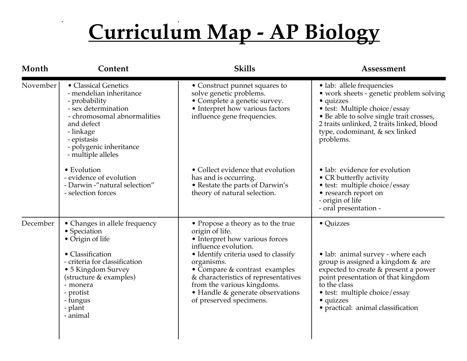| Month    | Content                                                                                                                                                                                                                            | <b>Skills</b>                                                                                                                                                                                                                                                                                                                              | Assessment                                                                                                                                                                                                                                                            |
|----------|------------------------------------------------------------------------------------------------------------------------------------------------------------------------------------------------------------------------------------|--------------------------------------------------------------------------------------------------------------------------------------------------------------------------------------------------------------------------------------------------------------------------------------------------------------------------------------------|-----------------------------------------------------------------------------------------------------------------------------------------------------------------------------------------------------------------------------------------------------------------------|
| November | • Classical Genetics<br>- mendelian inheritance<br>- probability<br>- sex determination<br>- chromosomal abnormalities<br>and defect<br>- linkage<br>- epistasis<br>- polygenic inheritance<br>- multiple alleles                  | • Construct punnet squares to<br>solve genetic problems.<br>• Complete a genetic survey.<br>• Interpret how various factors<br>influence gene frequencies.                                                                                                                                                                                 | · lab: allele frequencies<br>• work sheets - genetic problem solving<br>• quizzes<br>• test: Multiple choice/essay<br>• Be able to solve single trait crosses,<br>2 traits unlinked, 2 traits linked, blood<br>type, codominant, & sex linked<br>problems.            |
|          | • Evolution<br>- evidence of evolution<br>- Darwin -"natural selection"<br>- selection forces                                                                                                                                      | • Collect evidence that evolution<br>has and is occurring.<br>• Restate the parts of Darwin's<br>theory of natural selection.                                                                                                                                                                                                              | • lab: evidence for evolution<br>• CR butterfly activity<br>• test: multiple choice/essay<br>• research report on<br>- origin of life<br>- oral presentation -                                                                                                        |
| December | • Changes in allele frequency<br>• Speciation<br>• Origin of life<br>• Classification<br>- criteria for classification<br>• 5 Kingdom Survey<br>(structure & examples)<br>- monera<br>- protist<br>- fungus<br>- plant<br>- animal | • Propose a theory as to the true<br>origin of life.<br>• Interpret how various forces<br>influence evolution.<br>• Identify criteria used to classify<br>organisms.<br>• Compare & contrast examples<br>& characteristics of representatives<br>from the various kingdoms.<br>• Handle & generate observations<br>of preserved specimens. | • Quizzes<br>• lab: animal survey - where each<br>group is assigned a kingdom & are<br>expected to create & present a power<br>point presentation of that kingdom<br>to the class<br>• test: multiple choice/essay<br>• quizzes<br>· practical: animal classification |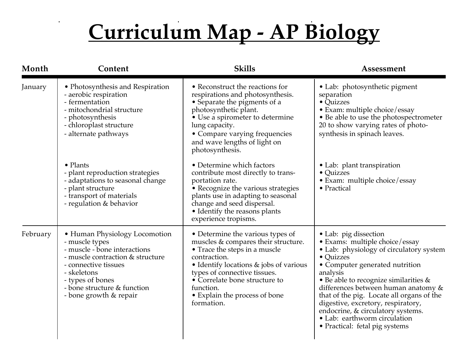$\mathbf{r}$ 

| Month    | Content                                                                                                                                                                                                                                 | <b>Skills</b>                                                                                                                                                                                                                                                                                   | Assessment                                                                                                                                                                                                                                                                                                                                                                                                                              |
|----------|-----------------------------------------------------------------------------------------------------------------------------------------------------------------------------------------------------------------------------------------|-------------------------------------------------------------------------------------------------------------------------------------------------------------------------------------------------------------------------------------------------------------------------------------------------|-----------------------------------------------------------------------------------------------------------------------------------------------------------------------------------------------------------------------------------------------------------------------------------------------------------------------------------------------------------------------------------------------------------------------------------------|
| January  | • Photosynthesis and Respiration<br>- aerobic respiration<br>- fermentation<br>- mitochondrial structure<br>- photosynthesis<br>- chloroplast structure<br>- alternate pathways                                                         | • Reconstruct the reactions for<br>respirations and photosynthesis.<br>• Separate the pigments of a<br>photosynthetic plant.<br>• Use a spirometer to determine<br>lung capacity.<br>• Compare varying frequencies<br>and wave lengths of light on<br>photosynthesis.                           | • Lab: photosynthetic pigment<br>separation<br>• Quizzes<br>• Exam: multiple choice/essay<br>• Be able to use the photospectrometer<br>20 to show varying rates of photo-<br>synthesis in spinach leaves.                                                                                                                                                                                                                               |
|          | $\bullet$ Plants<br>- plant reproduction strategies<br>- adaptations to seasonal change<br>- plant structure<br>- transport of materials<br>- regulation & behavior                                                                     | • Determine which factors<br>contribute most directly to trans-<br>portation rate.<br>• Recognize the various strategies<br>plants use in adapting to seasonal<br>change and seed dispersal.<br>• Identify the reasons plants<br>experience tropisms.                                           | • Lab: plant transpiration<br>• Quizzes<br>· Exam: multiple choice/essay<br>• Practical                                                                                                                                                                                                                                                                                                                                                 |
| February | • Human Physiology Locomotion<br>- muscle types<br>- muscle - bone interactions<br>- muscle contraction & structure<br>- connective tissues<br>- skeletons<br>- types of bones<br>- bone structure & function<br>- bone growth & repair | • Determine the various types of<br>muscles & compares their structure.<br>• Trace the steps in a muscle<br>contraction.<br>• Identify locations & jobs of various<br>types of connective tissues.<br>• Correlate bone structure to<br>function.<br>• Explain the process of bone<br>formation. | • Lab: pig dissection<br>· Exams: multiple choice/essay<br>• Lab: physiology of circulatory system<br>• Quizzes<br>• Computer generated nutrition<br>analysis<br>• Be able to recognize similarities &<br>differences between human anatomy &<br>that of the pig. Locate all organs of the<br>digestive, excretory, respiratory,<br>endocrine, & circulatory systems.<br>• Lab: earthworm circulation<br>• Practical: fetal pig systems |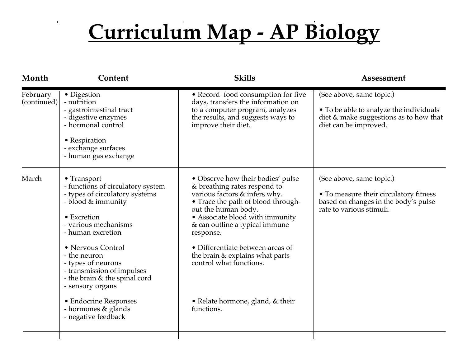$\mathbf{r}$ 

| Month                   | Content                                                                                                                                                                                                                                                                                                                                                                                   | <b>Skills</b>                                                                                                                                                                                                                                                                                                                                                                                           | Assessment                                                                                                                             |
|-------------------------|-------------------------------------------------------------------------------------------------------------------------------------------------------------------------------------------------------------------------------------------------------------------------------------------------------------------------------------------------------------------------------------------|---------------------------------------------------------------------------------------------------------------------------------------------------------------------------------------------------------------------------------------------------------------------------------------------------------------------------------------------------------------------------------------------------------|----------------------------------------------------------------------------------------------------------------------------------------|
| February<br>(continued) | • Digestion<br>- nutrition<br>- gastrointestinal tract<br>- digestive enzymes<br>- hormonal control<br>• Respiration<br>- exchange surfaces<br>- human gas exchange                                                                                                                                                                                                                       | • Record food consumption for five<br>days, transfers the information on<br>to a computer program, analyzes<br>the results, and suggests ways to<br>improve their diet.                                                                                                                                                                                                                                 | (See above, same topic.)<br>• To be able to analyze the individuals<br>diet & make suggestions as to how that<br>diet can be improved. |
| March                   | • Transport<br>- functions of circulatory system<br>- types of circulatory systems<br>- blood & immunity<br>• Excretion<br>- various mechanisms<br>- human excretion<br>• Nervous Control<br>- the neuron<br>- types of neurons<br>- transmission of impulses<br>- the brain & the spinal cord<br>- sensory organs<br>• Endocrine Responses<br>- hormones & glands<br>- negative feedback | • Observe how their bodies' pulse<br>& breathing rates respond to<br>various factors & infers why.<br>• Trace the path of blood through-<br>out the human body.<br>• Associate blood with immunity<br>& can outline a typical immune<br>response.<br>• Differentiate between areas of<br>the brain & explains what parts<br>control what functions.<br>• Relate hormone, gland, $&$ their<br>functions. | (See above, same topic.)<br>• To measure their circulatory fitness<br>based on changes in the body's pulse<br>rate to various stimuli. |
|                         |                                                                                                                                                                                                                                                                                                                                                                                           |                                                                                                                                                                                                                                                                                                                                                                                                         |                                                                                                                                        |